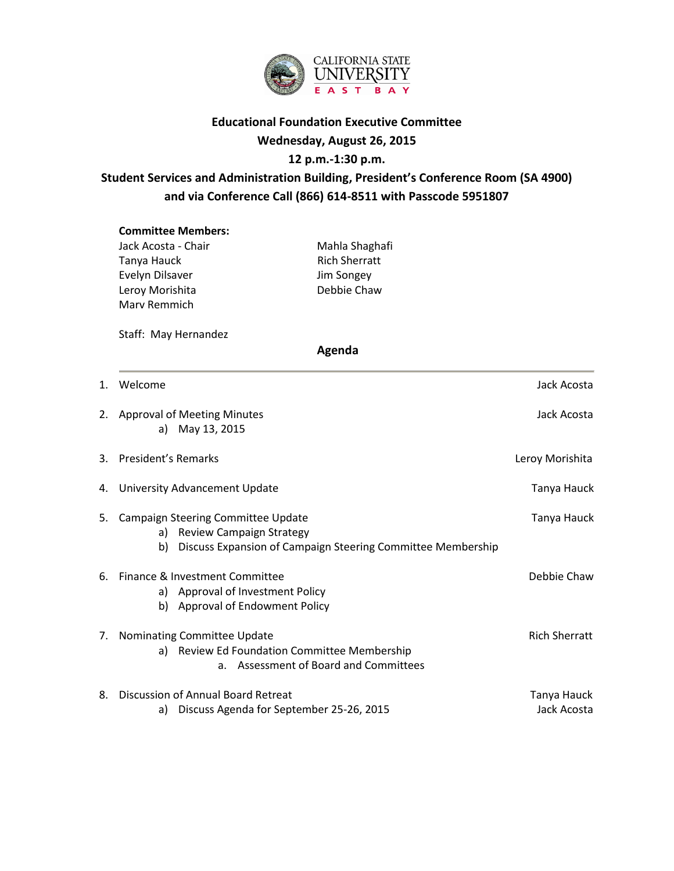

### **Educational Foundation Executive Committee**

### **Wednesday, August 26, 2015**

### **12 p.m.-1:30 p.m.**

## **Student Services and Administration Building, President's Conference Room (SA 4900) and via Conference Call (866) 614-8511 with Passcode 5951807**

# **Committee Members:** Jack Acosta - Chair **Mahla Shaghafi** Tanya Hauck **Rich Sherratt** Evelyn Dilsaver Jim Songey Leroy Morishita **Debbie Chaw** Marv Remmich Staff: May Hernandez  **Agenda** 1. Welcome Jack Acosta and the United States of the United States and the United States and Jack Acosta and Jack Acosta 2. Approval of Meeting Minutes and Social Acosta Jack Acosta a) May 13, 2015 3. President's Remarks **Letter Communist Communist Communist Communist Communist Communist Communist Communist Communist Communist Communist Communist Communist Communist Communist Communist Communist Communist Communist C** 4. University Advancement Update Tanya Hauck and Tanya Hauck 5. Campaign Steering Committee Update Tanya Hauck Steering Committee Update Tanya Hauck a) Review Campaign Strategy b) Discuss Expansion of Campaign Steering Committee Membership 6. Finance & Investment Committee **Debbie Chaw** a) Approval of Investment Policy b) Approval of Endowment Policy 7. Nominating Committee Update Rich Sherratt Sherratt Sherratt Sherratt Sherratt Sherratt Sherratt Sherratt Sherratt Sherratt Sherratt Sherratt Sherratt Sherratt Sherratt Sherratt Sherratt Sherratt Sherratt Sherratt Sherra a) Review Ed Foundation Committee Membership a. Assessment of Board and Committees 8. Discussion of Annual Board Retreat Tanya Hauck and Tanya Hauck

a) Discuss Agenda for September 25-26, 2015 Jack Acosta